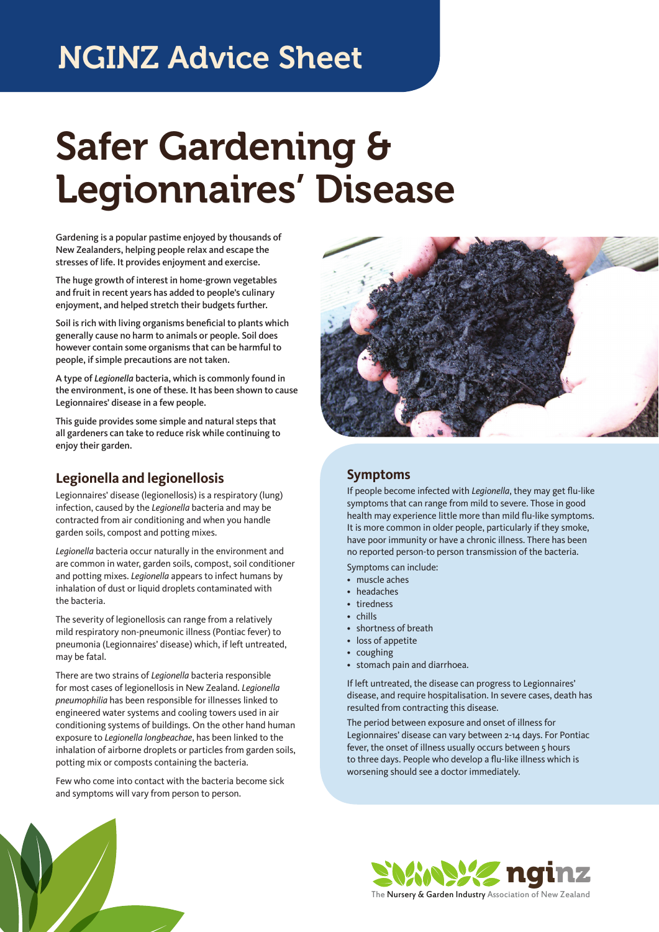## NGINZ Advice Sheet

# Safer Gardening & Legionnaires' Disease

Gardening is a popular pastime enjoyed by thousands of New Zealanders, helping people relax and escape the stresses of life. It provides enjoyment and exercise.

The huge growth of interest in home-grown vegetables and fruit in recent years has added to people's culinary enjoyment, and helped stretch their budgets further.

Soil is rich with living organisms beneficial to plants which generally cause no harm to animals or people. Soil does however contain some organisms that can be harmful to people, if simple precautions are not taken.

A type of *Legionella* bacteria, which is commonly found in the environment, is one of these. It has been shown to cause Legionnaires' disease in a few people.

This guide provides some simple and natural steps that all gardeners can take to reduce risk while continuing to enjoy their garden.

### **Legionella and legionellosis**

Legionnaires' disease (legionellosis) is a respiratory (lung) infection, caused by the *Legionella* bacteria and may be contracted from air conditioning and when you handle garden soils, compost and potting mixes.

*Legionella* bacteria occur naturally in the environment and are common in water, garden soils, compost, soil conditioner and potting mixes. *Legionella* appears to infect humans by inhalation of dust or liquid droplets contaminated with the bacteria.

The severity of legionellosis can range from a relatively mild respiratory non-pneumonic illness (Pontiac fever) to pneumonia (Legionnaires' disease) which, if left untreated, may be fatal.

There are two strains of *Legionella* bacteria responsible for most cases of legionellosis in New Zealand. *Legionella pneumophilia* has been responsible for illnesses linked to engineered water systems and cooling towers used in air conditioning systems of buildings. On the other hand human exposure to *Legionella longbeachae*, has been linked to the inhalation of airborne droplets or particles from garden soils, potting mix or composts containing the bacteria.

Few who come into contact with the bacteria become sick and symptoms will vary from person to person.



### **Symptoms**

If people become infected with *Legionella*, they may get flu-like symptoms that can range from mild to severe. Those in good health may experience little more than mild flu-like symptoms. It is more common in older people, particularly if they smoke, have poor immunity or have a chronic illness. There has been no reported person-to person transmission of the bacteria.

Symptoms can include:

- muscle aches
- headaches
- tiredness
- chills
- shortness of breath
- loss of appetite
- coughing
- stomach pain and diarrhoea.

If left untreated, the disease can progress to Legionnaires' disease, and require hospitalisation. In severe cases, death has resulted from contracting this disease.

The period between exposure and onset of illness for Legionnaires' disease can vary between 2-14 days. For Pontiac fever, the onset of illness usually occurs between 5 hours to three days. People who develop a flu-like illness which is worsening should see a doctor immediately.